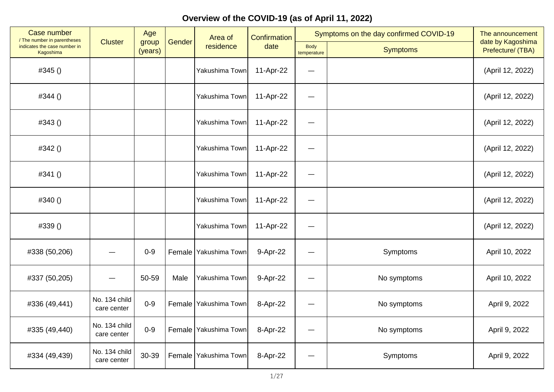| Case number<br>/ The number in parentheses |                              | Age              |        | Confirmation<br>Area of |           | Symptoms on the day confirmed COVID-19 | The announcement<br>date by Kagoshima |                   |
|--------------------------------------------|------------------------------|------------------|--------|-------------------------|-----------|----------------------------------------|---------------------------------------|-------------------|
| indicates the case number in<br>Kagoshima  | <b>Cluster</b>               | group<br>(years) | Gender | residence               | date      | <b>Body</b><br>temperature             | <b>Symptoms</b>                       | Prefecture/ (TBA) |
| #345 ()                                    |                              |                  |        | Yakushima Town          | 11-Apr-22 | —                                      |                                       | (April 12, 2022)  |
| #344()                                     |                              |                  |        | Yakushima Town          | 11-Apr-22 | $\qquad \qquad \longleftarrow$         |                                       | (April 12, 2022)  |
| #343()                                     |                              |                  |        | Yakushima Town          | 11-Apr-22 |                                        |                                       | (April 12, 2022)  |
| #342 ()                                    |                              |                  |        | Yakushima Town          | 11-Apr-22 | $\qquad \qquad$                        |                                       | (April 12, 2022)  |
| #341()                                     |                              |                  |        | Yakushima Town          | 11-Apr-22 | $\overline{\phantom{m}}$               |                                       | (April 12, 2022)  |
| #340()                                     |                              |                  |        | Yakushima Town          | 11-Apr-22 |                                        |                                       | (April 12, 2022)  |
| #339 ()                                    |                              |                  |        | Yakushima Town          | 11-Apr-22 | $\overline{\phantom{0}}$               |                                       | (April 12, 2022)  |
| #338 (50,206)                              |                              | $0 - 9$          |        | Female Yakushima Town   | 9-Apr-22  | —                                      | Symptoms                              | April 10, 2022    |
| #337 (50,205)                              |                              | 50-59            | Male   | Yakushima Town          | 9-Apr-22  |                                        | No symptoms                           | April 10, 2022    |
| #336 (49,441)                              | No. 134 child<br>care center | $0 - 9$          |        | Female Yakushima Town   | 8-Apr-22  | —                                      | No symptoms                           | April 9, 2022     |
| #335 (49,440)                              | No. 134 child<br>care center | $0 - 9$          |        | Female Yakushima Town   | 8-Apr-22  | $\overline{\phantom{m}}$               | No symptoms                           | April 9, 2022     |
| #334 (49,439)                              | No. 134 child<br>care center | 30-39            |        | Female Yakushima Town   | 8-Apr-22  |                                        | Symptoms                              | April 9, 2022     |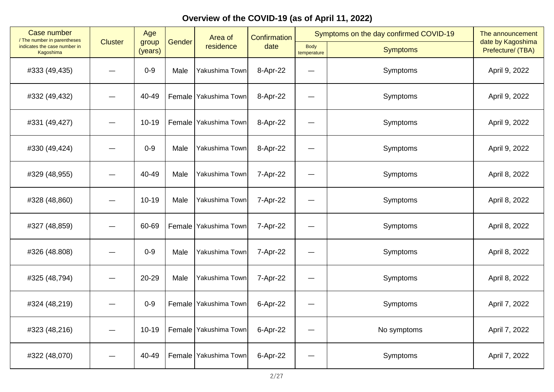| <b>Case number</b><br>/ The number in parentheses |                | Age              |        | Area of                 | Symptoms on the day confirmed COVID-19<br><b>Confirmation</b> |                            |                 | The announcement                       |
|---------------------------------------------------|----------------|------------------|--------|-------------------------|---------------------------------------------------------------|----------------------------|-----------------|----------------------------------------|
| indicates the case number in<br>Kagoshima         | <b>Cluster</b> | group<br>(years) | Gender | residence               | date                                                          | <b>Body</b><br>temperature | <b>Symptoms</b> | date by Kagoshima<br>Prefecture/ (TBA) |
| #333 (49,435)                                     |                | $0-9$            | Male   | Yakushima Town          | 8-Apr-22                                                      | —                          | Symptoms        | April 9, 2022                          |
| #332 (49,432)                                     |                | 40-49            |        | Female Yakushima Town   | 8-Apr-22                                                      | <u>—</u>                   | Symptoms        | April 9, 2022                          |
| #331 (49,427)                                     |                | $10 - 19$        |        | Female   Yakushima Town | 8-Apr-22                                                      |                            | Symptoms        | April 9, 2022                          |
| #330 (49,424)                                     |                | $0 - 9$          | Male   | Yakushima Town          | 8-Apr-22                                                      |                            | Symptoms        | April 9, 2022                          |
| #329 (48,955)                                     |                | 40-49            | Male   | Yakushima Town          | 7-Apr-22                                                      | —                          | Symptoms        | April 8, 2022                          |
| #328 (48,860)                                     |                | $10 - 19$        | Male   | Yakushima Town          | 7-Apr-22                                                      |                            | Symptoms        | April 8, 2022                          |
| #327 (48,859)                                     |                | 60-69            |        | Female Yakushima Town   | 7-Apr-22                                                      |                            | Symptoms        | April 8, 2022                          |
| #326 (48.808)                                     |                | $0 - 9$          | Male   | Yakushima Town          | 7-Apr-22                                                      | $\qquad \qquad$            | Symptoms        | April 8, 2022                          |
| #325 (48,794)                                     |                | 20-29            | Male   | Yakushima Town          | 7-Apr-22                                                      |                            | Symptoms        | April 8, 2022                          |
| #324 (48,219)                                     |                | $0 - 9$          |        | Female   Yakushima Town | 6-Apr-22                                                      | —                          | Symptoms        | April 7, 2022                          |
| #323 (48,216)                                     |                | $10 - 19$        |        | Female Yakushima Town   | 6-Apr-22                                                      | $\qquad \qquad$            | No symptoms     | April 7, 2022                          |
| #322 (48,070)                                     |                | 40-49            |        | Female Yakushima Town   | 6-Apr-22                                                      |                            | Symptoms        | April 7, 2022                          |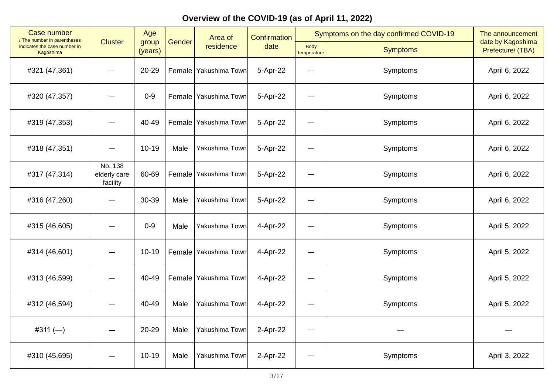| Case number<br>/ The number in parentheses |                                     | Age              |        | Area of                 | Confirmation |                            | Symptoms on the day confirmed COVID-19 | The announcement<br>date by Kagoshima |
|--------------------------------------------|-------------------------------------|------------------|--------|-------------------------|--------------|----------------------------|----------------------------------------|---------------------------------------|
| indicates the case number in<br>Kagoshima  | <b>Cluster</b>                      | group<br>(years) | Gender | residence               | date         | <b>Body</b><br>temperature | <b>Symptoms</b>                        | Prefecture/ (TBA)                     |
| #321 (47,361)                              |                                     | 20-29            |        | Female Yakushima Town   | 5-Apr-22     |                            | Symptoms                               | April 6, 2022                         |
| #320 (47,357)                              |                                     | $0-9$            | Female | Yakushima Town          | 5-Apr-22     | —                          | Symptoms                               | April 6, 2022                         |
| #319 (47,353)                              |                                     | 40-49            |        | Female   Yakushima Town | 5-Apr-22     |                            | Symptoms                               | April 6, 2022                         |
| #318 (47,351)                              |                                     | $10 - 19$        | Male   | Yakushima Town          | 5-Apr-22     | —                          | Symptoms                               | April 6, 2022                         |
| #317 (47,314)                              | No. 138<br>elderly care<br>facility | 60-69            | Female | Yakushima Town          | 5-Apr-22     | —                          | Symptoms                               | April 6, 2022                         |
| #316 (47,260)                              |                                     | 30-39            | Male   | Yakushima Town          | 5-Apr-22     |                            | Symptoms                               | April 6, 2022                         |
| #315 (46,605)                              |                                     | $0 - 9$          | Male   | Yakushima Town          | 4-Apr-22     | —                          | Symptoms                               | April 5, 2022                         |
| #314 (46,601)                              |                                     | $10 - 19$        | Female | Yakushima Town          | 4-Apr-22     | —                          | Symptoms                               | April 5, 2022                         |
| #313 (46,599)                              |                                     | 40-49            |        | Female   Yakushima Town | 4-Apr-22     |                            | Symptoms                               | April 5, 2022                         |
| #312 (46,594)                              |                                     | 40-49            | Male   | Yakushima Town          | 4-Apr-22     |                            | Symptoms                               | April 5, 2022                         |
| #311 $(-)$                                 |                                     | 20-29            | Male   | Yakushima Town          | 2-Apr-22     | —                          |                                        |                                       |
| #310 (45,695)                              |                                     | $10 - 19$        | Male   | Yakushima Town          | 2-Apr-22     |                            | Symptoms                               | April 3, 2022                         |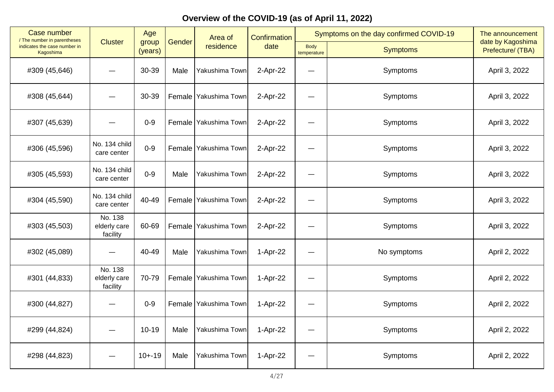| Case number<br>/ The number in parentheses       |                                     | Age              |        | Area of                 | Symptoms on the day confirmed COVID-19<br>Confirmation |                            | The announcement |                                        |
|--------------------------------------------------|-------------------------------------|------------------|--------|-------------------------|--------------------------------------------------------|----------------------------|------------------|----------------------------------------|
| indicates the case number in<br><b>Kagoshima</b> | <b>Cluster</b>                      | group<br>(years) | Gender | residence               | date                                                   | <b>Body</b><br>temperature | <b>Symptoms</b>  | date by Kagoshima<br>Prefecture/ (TBA) |
| #309 (45,646)                                    |                                     | 30-39            | Male   | Yakushima Town          | 2-Apr-22                                               |                            | Symptoms         | April 3, 2022                          |
| #308 (45,644)                                    |                                     | 30-39            |        | Female   Yakushima Town | 2-Apr-22                                               | --                         | Symptoms         | April 3, 2022                          |
| #307 (45,639)                                    |                                     | $0-9$            |        | Female   Yakushima Town | 2-Apr-22                                               |                            | Symptoms         | April 3, 2022                          |
| #306 (45,596)                                    | No. 134 child<br>care center        | $0 - 9$          |        | Female Yakushima Town   | 2-Apr-22                                               |                            | Symptoms         | April 3, 2022                          |
| #305 (45,593)                                    | No. 134 child<br>care center        | $0 - 9$          | Male   | Yakushima Town          | 2-Apr-22                                               | —                          | Symptoms         | April 3, 2022                          |
| #304 (45,590)                                    | No. 134 child<br>care center        | 40-49            |        | Female Yakushima Town   | 2-Apr-22                                               |                            | Symptoms         | April 3, 2022                          |
| #303 (45,503)                                    | No. 138<br>elderly care<br>facility | 60-69            |        | Female Yakushima Town   | 2-Apr-22                                               |                            | Symptoms         | April 3, 2022                          |
| #302 (45,089)                                    | —                                   | 40-49            | Male   | Yakushima Town          | 1-Apr-22                                               |                            | No symptoms      | April 2, 2022                          |
| #301 (44,833)                                    | No. 138<br>elderly care<br>facility | 70-79            |        | Female   Yakushima Town | 1-Apr-22                                               |                            | Symptoms         | April 2, 2022                          |
| #300 (44,827)                                    |                                     | $0 - 9$          |        | Female Yakushima Town   | 1-Apr-22                                               |                            | Symptoms         | April 2, 2022                          |
| #299 (44,824)                                    |                                     | $10 - 19$        | Male   | Yakushima Town          | 1-Apr-22                                               | —                          | Symptoms         | April 2, 2022                          |
| #298 (44,823)                                    |                                     | $10 + -19$       | Male   | Yakushima Town          | 1-Apr-22                                               |                            | Symptoms         | April 2, 2022                          |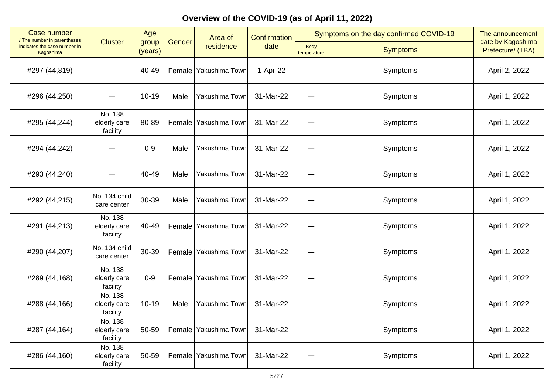| <b>Case number</b><br>/ The number in parentheses |                                     | Age              |        | Area of               | Symptoms on the day confirmed COVID-19<br>Confirmation |                            | The announcement |                                        |
|---------------------------------------------------|-------------------------------------|------------------|--------|-----------------------|--------------------------------------------------------|----------------------------|------------------|----------------------------------------|
| indicates the case number in<br>Kagoshima         | <b>Cluster</b>                      | group<br>(years) | Gender | residence             | date                                                   | <b>Body</b><br>temperature | <b>Symptoms</b>  | date by Kagoshima<br>Prefecture/ (TBA) |
| #297 (44,819)                                     |                                     | 40-49            |        | Female Yakushima Town | 1-Apr-22                                               |                            | Symptoms         | April 2, 2022                          |
| #296 (44,250)                                     |                                     | $10 - 19$        | Male   | Yakushima Town        | 31-Mar-22                                              |                            | Symptoms         | April 1, 2022                          |
| #295 (44,244)                                     | No. 138<br>elderly care<br>facility | 80-89            |        | Female Yakushima Town | 31-Mar-22                                              |                            | Symptoms         | April 1, 2022                          |
| #294 (44,242)                                     |                                     | $0 - 9$          | Male   | Yakushima Town        | 31-Mar-22                                              |                            | Symptoms         | April 1, 2022                          |
| #293 (44,240)                                     |                                     | 40-49            | Male   | Yakushima Town        | 31-Mar-22                                              | $\overline{\phantom{0}}$   | Symptoms         | April 1, 2022                          |
| #292 (44,215)                                     | No. 134 child<br>care center        | 30-39            | Male   | Yakushima Town        | 31-Mar-22                                              |                            | Symptoms         | April 1, 2022                          |
| #291 (44,213)                                     | No. 138<br>elderly care<br>facility | 40-49            |        | Female Yakushima Town | 31-Mar-22                                              |                            | Symptoms         | April 1, 2022                          |
| #290 (44,207)                                     | No. 134 child<br>care center        | 30-39            | Female | Yakushima Town        | 31-Mar-22                                              |                            | Symptoms         | April 1, 2022                          |
| #289 (44,168)                                     | No. 138<br>elderly care<br>facility | $0-9$            |        | Female Yakushima Town | 31-Mar-22                                              |                            | Symptoms         | April 1, 2022                          |
| #288 (44,166)                                     | No. 138<br>elderly care<br>facility | $10 - 19$        | Male   | Yakushima Town        | 31-Mar-22                                              | $\equiv$                   | Symptoms         | April 1, 2022                          |
| #287 (44,164)                                     | No. 138<br>elderly care<br>facility | 50-59            | Female | Yakushima Town        | 31-Mar-22                                              | —                          | Symptoms         | April 1, 2022                          |
| #286 (44,160)                                     | No. 138<br>elderly care<br>facility | 50-59            | Female | Yakushima Town        | 31-Mar-22                                              |                            | Symptoms         | April 1, 2022                          |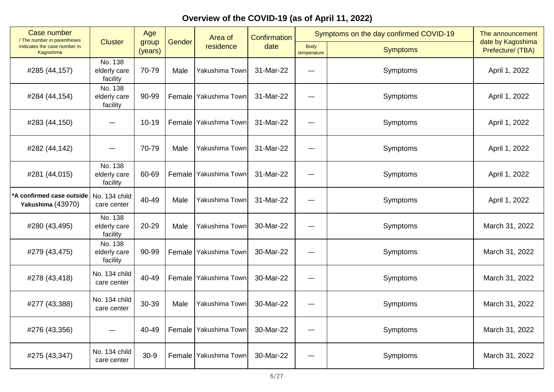| <b>Case number</b><br>/ The number in parentheses | Age                                 |                  |        | Area of                 | <b>Confirmation</b> |                            | Symptoms on the day confirmed COVID-19 | The announcement                       |
|---------------------------------------------------|-------------------------------------|------------------|--------|-------------------------|---------------------|----------------------------|----------------------------------------|----------------------------------------|
| indicates the case number in<br>Kagoshima         | <b>Cluster</b>                      | group<br>(years) | Gender | residence               | date                | <b>Body</b><br>temperature | <b>Symptoms</b>                        | date by Kagoshima<br>Prefecture/ (TBA) |
| #285 (44,157)                                     | No. 138<br>elderly care<br>facility | 70-79            | Male   | Yakushima Town          | 31-Mar-22           |                            | Symptoms                               | April 1, 2022                          |
| #284 (44,154)                                     | No. 138<br>elderly care<br>facility | 90-99            | Female | Yakushima Town          | 31-Mar-22           |                            | Symptoms                               | April 1, 2022                          |
| #283 (44,150)                                     |                                     | $10 - 19$        |        | Female Yakushima Town   | 31-Mar-22           |                            | Symptoms                               | April 1, 2022                          |
| #282 (44,142)                                     |                                     | 70-79            | Male   | Yakushima Town          | 31-Mar-22           | —                          | Symptoms                               | April 1, 2022                          |
| #281 (44,015)                                     | No. 138<br>elderly care<br>facility | 60-69            | Female | Yakushima Town          | 31-Mar-22           |                            | Symptoms                               | April 1, 2022                          |
| A confirmed case outside<br>Yakushima (43970)     | No. 134 child<br>care center        | 40-49            | Male   | Yakushima Town          | 31-Mar-22           |                            | Symptoms                               | April 1, 2022                          |
| #280 (43,495)                                     | No. 138<br>elderly care<br>facility | 20-29            | Male   | Yakushima Town          | 30-Mar-22           |                            | Symptoms                               | March 31, 2022                         |
| #279 (43,475)                                     | No. 138<br>elderly care<br>facility | 90-99            | Female | Yakushima Town          | 30-Mar-22           | $\overline{\phantom{0}}$   | Symptoms                               | March 31, 2022                         |
| #278 (43,418)                                     | No. 134 child<br>care center        | 40-49            |        | Female Yakushima Town   | 30-Mar-22           |                            | Symptoms                               | March 31, 2022                         |
| #277 (43,388)                                     | No. 134 child<br>care center        | 30-39            | Male   | Yakushima Town          | 30-Mar-22           |                            | Symptoms                               | March 31, 2022                         |
| #276 (43,356)                                     |                                     | 40-49            |        | Female Yakushima Town   | 30-Mar-22           | —                          | Symptoms                               | March 31, 2022                         |
| #275 (43,347)                                     | No. 134 child<br>care center        | $30 - 9$         |        | Female   Yakushima Town | 30-Mar-22           |                            | Symptoms                               | March 31, 2022                         |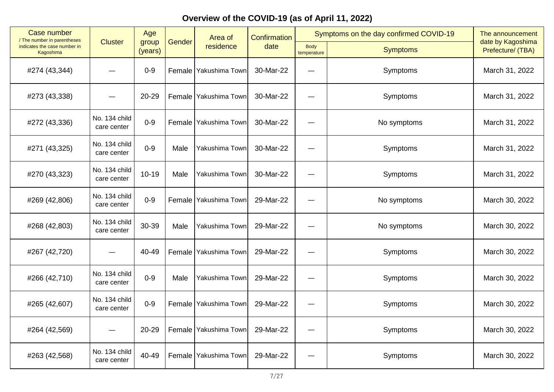| Case number<br>/ The number in parentheses |                              | Age              |               | Area of                 | <b>Confirmation</b> |                            | Symptoms on the day confirmed COVID-19 | The announcement                       |
|--------------------------------------------|------------------------------|------------------|---------------|-------------------------|---------------------|----------------------------|----------------------------------------|----------------------------------------|
| indicates the case number in<br>Kagoshima  | <b>Cluster</b>               | group<br>(years) | Gender        | residence               | date                | <b>Body</b><br>temperature | <b>Symptoms</b>                        | date by Kagoshima<br>Prefecture/ (TBA) |
| #274 (43,344)                              |                              | $0 - 9$          |               | Female   Yakushima Town | 30-Mar-22           |                            | Symptoms                               | March 31, 2022                         |
| #273 (43,338)                              |                              | 20-29            | Female        | Yakushima Town          | 30-Mar-22           |                            | Symptoms                               | March 31, 2022                         |
| #272 (43,336)                              | No. 134 child<br>care center | $0 - 9$          |               | Female   Yakushima Town | 30-Mar-22           |                            | No symptoms                            | March 31, 2022                         |
| #271 (43,325)                              | No. 134 child<br>care center | $0 - 9$          | Male          | Yakushima Town          | 30-Mar-22           |                            | Symptoms                               | March 31, 2022                         |
| #270 (43,323)                              | No. 134 child<br>care center | $10 - 19$        | Male          | Yakushima Town          | 30-Mar-22           |                            | Symptoms                               | March 31, 2022                         |
| #269 (42,806)                              | No. 134 child<br>care center | $0 - 9$          | <b>Female</b> | Yakushima Town          | 29-Mar-22           |                            | No symptoms                            | March 30, 2022                         |
| #268 (42,803)                              | No. 134 child<br>care center | 30-39            | Male          | Yakushima Town          | 29-Mar-22           |                            | No symptoms                            | March 30, 2022                         |
| #267 (42,720)                              |                              | 40-49            | Female        | Yakushima Town          | 29-Mar-22           |                            | Symptoms                               | March 30, 2022                         |
| #266 (42,710)                              | No. 134 child<br>care center | $0 - 9$          | Male          | Yakushima Town          | 29-Mar-22           |                            | Symptoms                               | March 30, 2022                         |
| #265 (42,607)                              | No. 134 child<br>care center | $0 - 9$          |               | Female   Yakushima Town | 29-Mar-22           |                            | Symptoms                               | March 30, 2022                         |
| #264 (42,569)                              |                              | 20-29            | Female        | Yakushima Town          | 29-Mar-22           |                            | Symptoms                               | March 30, 2022                         |
| #263 (42,568)                              | No. 134 child<br>care center | 40-49            |               | Female Yakushima Town   | 29-Mar-22           |                            | Symptoms                               | March 30, 2022                         |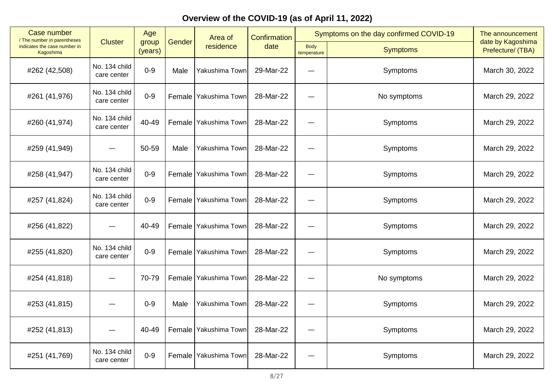| Case number<br>/ The number in parentheses |                              | Age              |        | Area of               | Confirmation |                     | Symptoms on the day confirmed COVID-19 | The announcement                       |
|--------------------------------------------|------------------------------|------------------|--------|-----------------------|--------------|---------------------|----------------------------------------|----------------------------------------|
| indicates the case number in<br>Kagoshima  | <b>Cluster</b>               | group<br>(years) | Gender | residence             | date         | Body<br>temperature | <b>Symptoms</b>                        | date by Kagoshima<br>Prefecture/ (TBA) |
| #262 (42,508)                              | No. 134 child<br>care center | $0-9$            | Male   | Yakushima Town        | 29-Mar-22    |                     | Symptoms                               | March 30, 2022                         |
| #261 (41,976)                              | No. 134 child<br>care center | $0 - 9$          | Female | Yakushima Town        | 28-Mar-22    | -                   | No symptoms                            | March 29, 2022                         |
| #260 (41,974)                              | No. 134 child<br>care center | 40-49            |        | Female Yakushima Town | 28-Mar-22    |                     | Symptoms                               | March 29, 2022                         |
| #259 (41,949)                              |                              | 50-59            | Male   | Yakushima Town        | 28-Mar-22    |                     | Symptoms                               | March 29, 2022                         |
| #258 (41,947)                              | No. 134 child<br>care center | $0 - 9$          | Female | Yakushima Town        | 28-Mar-22    | -                   | Symptoms                               | March 29, 2022                         |
| #257 (41,824)                              | No. 134 child<br>care center | $0-9$            |        | Female Yakushima Town | 28-Mar-22    |                     | Symptoms                               | March 29, 2022                         |
| #256 (41,822)                              |                              | 40-49            |        | Female Yakushima Town | 28-Mar-22    |                     | Symptoms                               | March 29, 2022                         |
| #255 (41,820)                              | No. 134 child<br>care center | $0 - 9$          | Female | Yakushima Town        | 28-Mar-22    | —<br>—              | Symptoms                               | March 29, 2022                         |
| #254 (41,818)                              |                              | 70-79            |        | Female Yakushima Town | 28-Mar-22    |                     | No symptoms                            | March 29, 2022                         |
| #253 (41,815)                              |                              | $0 - 9$          | Male   | Yakushima Town        | 28-Mar-22    |                     | Symptoms                               | March 29, 2022                         |
| #252 (41,813)                              |                              | 40-49            |        | Female Yakushima Town | 28-Mar-22    | —                   | Symptoms                               | March 29, 2022                         |
| #251 (41,769)                              | No. 134 child<br>care center | $0-9$            | Female | Yakushima Town        | 28-Mar-22    |                     | Symptoms                               | March 29, 2022                         |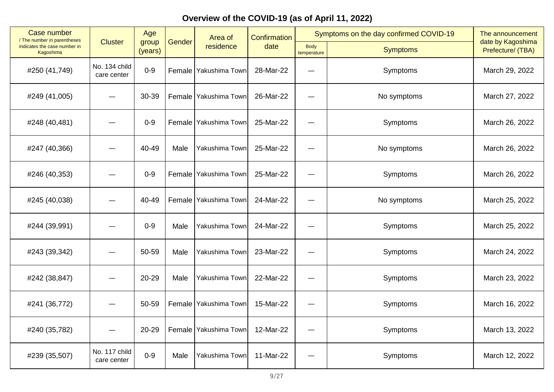| <b>Case number</b><br>/ The number in parentheses |                              | Age              |        | Area of                 | Confirmation |                     | Symptoms on the day confirmed COVID-19 | The announcement                       |
|---------------------------------------------------|------------------------------|------------------|--------|-------------------------|--------------|---------------------|----------------------------------------|----------------------------------------|
| indicates the case number in<br>Kagoshima         | <b>Cluster</b>               | group<br>(years) | Gender | residence               | date         | Body<br>temperature | <b>Symptoms</b>                        | date by Kagoshima<br>Prefecture/ (TBA) |
| #250 (41,749)                                     | No. 134 child<br>care center | $0-9$            |        | Female Yakushima Town   | 28-Mar-22    |                     | Symptoms                               | March 29, 2022                         |
| #249 (41,005)                                     |                              | 30-39            |        | Female   Yakushima Town | 26-Mar-22    | -                   | No symptoms                            | March 27, 2022                         |
| #248 (40,481)                                     |                              | $0 - 9$          |        | Female Yakushima Town   | 25-Mar-22    |                     | Symptoms                               | March 26, 2022                         |
| #247 (40,366)                                     |                              | 40-49            | Male   | Yakushima Town          | 25-Mar-22    |                     | No symptoms                            | March 26, 2022                         |
| #246 (40,353)                                     |                              | $0-9$            | Female | Yakushima Town          | 25-Mar-22    | ٠                   | Symptoms                               | March 26, 2022                         |
| #245 (40,038)                                     |                              | 40-49            |        | Female   Yakushima Town | 24-Mar-22    |                     | No symptoms                            | March 25, 2022                         |
| #244 (39,991)                                     |                              | $0 - 9$          | Male   | Yakushima Town          | 24-Mar-22    |                     | Symptoms                               | March 25, 2022                         |
| #243 (39,342)                                     |                              | 50-59            | Male   | Yakushima Town          | 23-Mar-22    |                     | Symptoms                               | March 24, 2022                         |
| #242 (38,847)                                     |                              | 20-29            | Male   | Yakushima Town          | 22-Mar-22    |                     | Symptoms                               | March 23, 2022                         |
| #241 (36,772)                                     |                              | 50-59            |        | Female   Yakushima Town | 15-Mar-22    |                     | Symptoms                               | March 16, 2022                         |
| #240 (35,782)                                     |                              | 20-29            |        | Female   Yakushima Town | 12-Mar-22    | —                   | Symptoms                               | March 13, 2022                         |
| #239 (35,507)                                     | No. 117 child<br>care center | $0 - 9$          | Male   | Yakushima Town          | 11-Mar-22    |                     | Symptoms                               | March 12, 2022                         |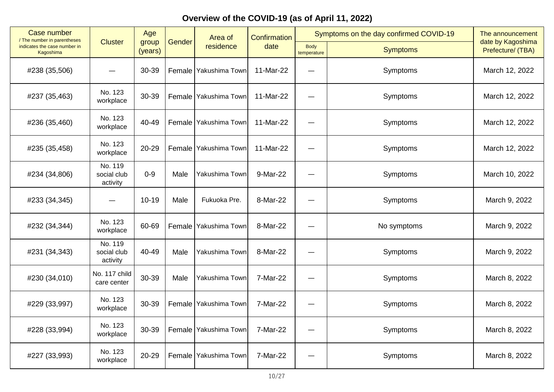| Case number<br>/ The number in parentheses |                                    | Age              |        | Area of                 | Confirmation |                            | Symptoms on the day confirmed COVID-19 | The announcement                       |
|--------------------------------------------|------------------------------------|------------------|--------|-------------------------|--------------|----------------------------|----------------------------------------|----------------------------------------|
| indicates the case number in<br>Kagoshima  | <b>Cluster</b>                     | group<br>(years) | Gender | residence               | date         | <b>Body</b><br>temperature | <b>Symptoms</b>                        | date by Kagoshima<br>Prefecture/ (TBA) |
| #238 (35,506)                              |                                    | 30-39            |        | Female Yakushima Town   | 11-Mar-22    |                            | Symptoms                               | March 12, 2022                         |
| #237 (35,463)                              | No. 123<br>workplace               | 30-39            |        | Female Yakushima Town   | 11-Mar-22    | —                          | Symptoms                               | March 12, 2022                         |
| #236 (35,460)                              | No. 123<br>workplace               | 40-49            |        | Female Yakushima Town   | 11-Mar-22    |                            | Symptoms                               | March 12, 2022                         |
| #235 (35,458)                              | No. 123<br>workplace               | 20-29            | Female | Yakushima Town          | 11-Mar-22    | —                          | Symptoms                               | March 12, 2022                         |
| #234 (34,806)                              | No. 119<br>social club<br>activity | $0 - 9$          | Male   | Yakushima Town          | 9-Mar-22     | —                          | Symptoms                               | March 10, 2022                         |
| #233 (34,345)                              |                                    | $10 - 19$        | Male   | Fukuoka Pre.            | 8-Mar-22     |                            | Symptoms                               | March 9, 2022                          |
| #232 (34,344)                              | No. 123<br>workplace               | 60-69            |        | Female   Yakushima Town | 8-Mar-22     | —<br>——                    | No symptoms                            | March 9, 2022                          |
| #231 (34,343)                              | No. 119<br>social club<br>activity | 40-49            | Male   | Yakushima Town          | 8-Mar-22     |                            | Symptoms                               | March 9, 2022                          |
| #230 (34,010)                              | No. 117 child<br>care center       | 30-39            | Male   | Yakushima Town          | 7-Mar-22     |                            | Symptoms                               | March 8, 2022                          |
| #229 (33,997)                              | No. 123<br>workplace               | 30-39            |        | Female Yakushima Town   | 7-Mar-22     |                            | Symptoms                               | March 8, 2022                          |
| #228 (33,994)                              | No. 123<br>workplace               | 30-39            |        | Female   Yakushima Town | 7-Mar-22     | —                          | Symptoms                               | March 8, 2022                          |
| #227 (33,993)                              | No. 123<br>workplace               | 20-29            | Female | Yakushima Town          | 7-Mar-22     |                            | Symptoms                               | March 8, 2022                          |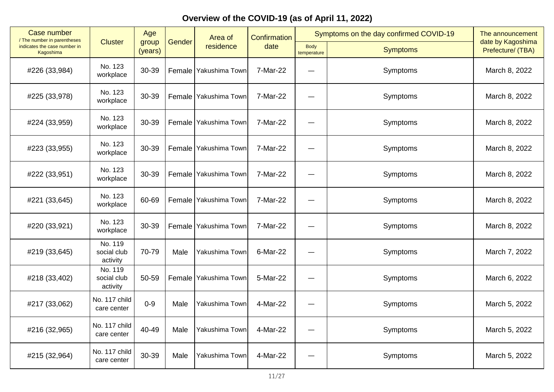| <b>Case number</b><br>/ The number in parentheses | Age                                |                  |        | Area of                 | <b>Confirmation</b> |                            | Symptoms on the day confirmed COVID-19 | The announcement                       |  |
|---------------------------------------------------|------------------------------------|------------------|--------|-------------------------|---------------------|----------------------------|----------------------------------------|----------------------------------------|--|
| indicates the case number in<br>Kagoshima         | <b>Cluster</b>                     | group<br>(years) | Gender | residence               | date                | <b>Body</b><br>temperature | <b>Symptoms</b>                        | date by Kagoshima<br>Prefecture/ (TBA) |  |
| #226 (33,984)                                     | No. 123<br>workplace               | 30-39            |        | Female   Yakushima Town | 7-Mar-22            |                            | Symptoms                               | March 8, 2022                          |  |
| #225 (33,978)                                     | No. 123<br>workplace               | 30-39            |        | Female   Yakushima Town | 7-Mar-22            | $\overline{\phantom{0}}$   | Symptoms                               | March 8, 2022                          |  |
| #224 (33,959)                                     | No. 123<br>workplace               | 30-39            |        | Female   Yakushima Town | 7-Mar-22            |                            | Symptoms                               | March 8, 2022                          |  |
| #223 (33,955)                                     | No. 123<br>workplace               | 30-39            |        | Female Yakushima Town   | 7-Mar-22            | —<br>——                    | Symptoms                               | March 8, 2022                          |  |
| #222 (33,951)                                     | No. 123<br>workplace               | 30-39            | Female | Yakushima Town          | 7-Mar-22            | —                          | Symptoms                               | March 8, 2022                          |  |
| #221 (33,645)                                     | No. 123<br>workplace               | 60-69            |        | Female Yakushima Town   | 7-Mar-22            |                            | Symptoms                               | March 8, 2022                          |  |
| #220 (33,921)                                     | No. 123<br>workplace               | 30-39            |        | Female Yakushima Town   | 7-Mar-22            |                            | Symptoms                               | March 8, 2022                          |  |
| #219 (33,645)                                     | No. 119<br>social club<br>activity | 70-79            | Male   | Yakushima Town          | 6-Mar-22            | $\overline{\phantom{0}}$   | Symptoms                               | March 7, 2022                          |  |
| #218 (33,402)                                     | No. 119<br>social club<br>activity | 50-59            |        | Female Yakushima Town   | 5-Mar-22            |                            | Symptoms                               | March 6, 2022                          |  |
| #217 (33,062)                                     | No. 117 child<br>care center       | $0 - 9$          | Male   | Yakushima Town          | 4-Mar-22            |                            | Symptoms                               | March 5, 2022                          |  |
| #216 (32,965)                                     | No. 117 child<br>care center       | 40-49            | Male   | Yakushima Town          | 4-Mar-22            | —                          | Symptoms                               | March 5, 2022                          |  |
| #215 (32,964)                                     | No. 117 child<br>care center       | 30-39            | Male   | Yakushima Town          | 4-Mar-22            |                            | Symptoms                               | March 5, 2022                          |  |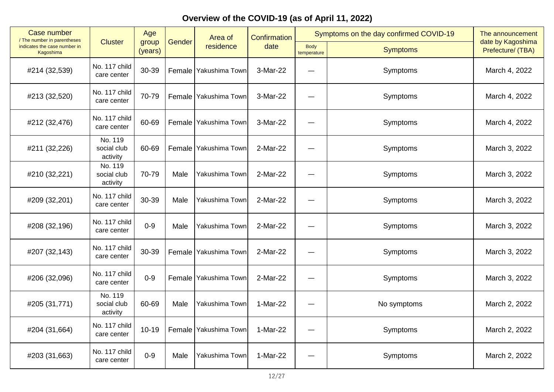| Case number<br>/ The number in parentheses       |                                    | Age              |        | Area of                 | Symptoms on the day confirmed COVID-19<br>Confirmation |                            | The announcement |                                        |
|--------------------------------------------------|------------------------------------|------------------|--------|-------------------------|--------------------------------------------------------|----------------------------|------------------|----------------------------------------|
| indicates the case number in<br><b>Kagoshima</b> | <b>Cluster</b>                     | group<br>(years) | Gender | residence               | date                                                   | <b>Body</b><br>temperature | <b>Symptoms</b>  | date by Kagoshima<br>Prefecture/ (TBA) |
| #214 (32,539)                                    | No. 117 child<br>care center       | 30-39            |        | Female Yakushima Town   | 3-Mar-22                                               |                            | Symptoms         | March 4, 2022                          |
| #213 (32,520)                                    | No. 117 child<br>care center       | 70-79            |        | Female Yakushima Town   | 3-Mar-22                                               | $\overline{\phantom{0}}$   | Symptoms         | March 4, 2022                          |
| #212 (32,476)                                    | No. 117 child<br>care center       | 60-69            |        | Female Yakushima Town   | 3-Mar-22                                               |                            | Symptoms         | March 4, 2022                          |
| #211 (32,226)                                    | No. 119<br>social club<br>activity | 60-69            | Female | Yakushima Town          | 2-Mar-22                                               |                            | Symptoms         | March 3, 2022                          |
| #210 (32,221)                                    | No. 119<br>social club<br>activity | 70-79            | Male   | Yakushima Town          | 2-Mar-22                                               |                            | Symptoms         | March 3, 2022                          |
| #209 (32,201)                                    | No. 117 child<br>care center       | 30-39            | Male   | Yakushima Town          | 2-Mar-22                                               |                            | Symptoms         | March 3, 2022                          |
| #208 (32,196)                                    | No. 117 child<br>care center       | $0 - 9$          | Male   | Yakushima Town          | 2-Mar-22                                               |                            | Symptoms         | March 3, 2022                          |
| #207 (32,143)                                    | No. 117 child<br>care center       | 30-39            |        | Female   Yakushima Town | 2-Mar-22                                               | ۰                          | Symptoms         | March 3, 2022                          |
| #206 (32,096)                                    | No. 117 child<br>care center       | $0 - 9$          |        | Female   Yakushima Town | 2-Mar-22                                               |                            | Symptoms         | March 3, 2022                          |
| #205 (31,771)                                    | No. 119<br>social club<br>activity | 60-69            | Male   | Yakushima Town          | 1-Mar-22                                               |                            | No symptoms      | March 2, 2022                          |
| #204 (31,664)                                    | No. 117 child<br>care center       | $10 - 19$        | Female | Yakushima Town          | 1-Mar-22                                               |                            | Symptoms         | March 2, 2022                          |
| #203 (31,663)                                    | No. 117 child<br>care center       | $0 - 9$          | Male   | Yakushima Town          | 1-Mar-22                                               |                            | Symptoms         | March 2, 2022                          |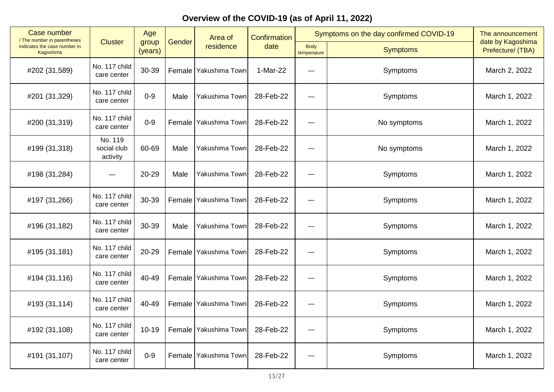| Case number<br>/ The number in parentheses |                                    | Age              |        | Area of                 | Confirmation | Symptoms on the day confirmed COVID-19 |                 | The announcement                       |
|--------------------------------------------|------------------------------------|------------------|--------|-------------------------|--------------|----------------------------------------|-----------------|----------------------------------------|
| indicates the case number in<br>Kagoshima  | <b>Cluster</b>                     | group<br>(years) | Gender | residence               | date         | <b>Body</b><br>temperature             | <b>Symptoms</b> | date by Kagoshima<br>Prefecture/ (TBA) |
| #202 (31,589)                              | No. 117 child<br>care center       | 30-39            |        | Female Yakushima Town   | 1-Mar-22     |                                        | Symptoms        | March 2, 2022                          |
| #201 (31,329)                              | No. 117 child<br>care center       | $0-9$            | Male   | Yakushima Town          | 28-Feb-22    | —                                      | Symptoms        | March 1, 2022                          |
| #200 (31,319)                              | No. 117 child<br>care center       | $0 - 9$          |        | Female Yakushima Town   | 28-Feb-22    |                                        | No symptoms     | March 1, 2022                          |
| #199 (31,318)                              | No. 119<br>social club<br>activity | 60-69            | Male   | Yakushima Town          | 28-Feb-22    | $\overline{\phantom{0}}$               | No symptoms     | March 1, 2022                          |
| #198 (31,284)                              |                                    | 20-29            | Male   | Yakushima Town          | 28-Feb-22    |                                        | Symptoms        | March 1, 2022                          |
| #197 (31,266)                              | No. 117 child<br>care center       | 30-39            |        | Female   Yakushima Town | 28-Feb-22    |                                        | Symptoms        | March 1, 2022                          |
| #196 (31,182)                              | No. 117 child<br>care center       | 30-39            | Male   | Yakushima Town          | 28-Feb-22    |                                        | Symptoms        | March 1, 2022                          |
| #195 (31,181)                              | No. 117 child<br>care center       | 20-29            | Female | Yakushima Town          | 28-Feb-22    |                                        | Symptoms        | March 1, 2022                          |
| #194 (31,116)                              | No. 117 child<br>care center       | 40-49            |        | Female Yakushima Town   | 28-Feb-22    |                                        | Symptoms        | March 1, 2022                          |
| #193 (31,114)                              | No. 117 child<br>care center       | 40-49            |        | Female   Yakushima Town | 28-Feb-22    |                                        | Symptoms        | March 1, 2022                          |
| #192 (31,108)                              | No. 117 child<br>care center       | $10 - 19$        |        | Female Yakushima Town   | 28-Feb-22    | —                                      | Symptoms        | March 1, 2022                          |
| #191 (31,107)                              | No. 117 child<br>care center       | $0 - 9$          | Female | Yakushima Town          | 28-Feb-22    |                                        | Symptoms        | March 1, 2022                          |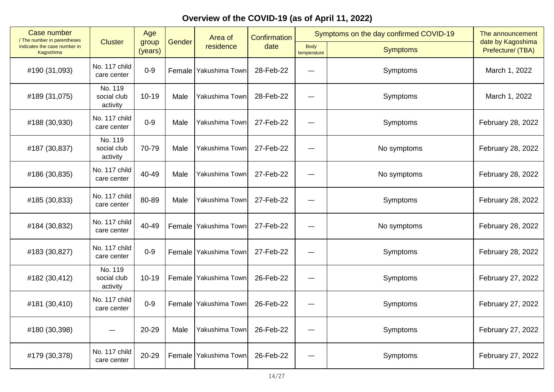| Case number<br>/ The number in parentheses       |                                    | Age              |        | Area of                 | <b>Confirmation</b> |                            | Symptoms on the day confirmed COVID-19 | The announcement                       |
|--------------------------------------------------|------------------------------------|------------------|--------|-------------------------|---------------------|----------------------------|----------------------------------------|----------------------------------------|
| indicates the case number in<br><b>Kagoshima</b> | <b>Cluster</b>                     | group<br>(years) | Gender | residence               | date                | <b>Body</b><br>temperature | <b>Symptoms</b>                        | date by Kagoshima<br>Prefecture/ (TBA) |
| #190 (31,093)                                    | No. 117 child<br>care center       | $0-9$            |        | Female   Yakushima Town | 28-Feb-22           |                            | Symptoms                               | March 1, 2022                          |
| #189 (31,075)                                    | No. 119<br>social club<br>activity | $10 - 19$        | Male   | Yakushima Town          | 28-Feb-22           |                            | Symptoms                               | March 1, 2022                          |
| #188 (30,930)                                    | No. 117 child<br>care center       | $0 - 9$          | Male   | Yakushima Town          | 27-Feb-22           |                            | Symptoms                               | February 28, 2022                      |
| #187 (30,837)                                    | No. 119<br>social club<br>activity | 70-79            | Male   | Yakushima Town          | 27-Feb-22           |                            | No symptoms                            | February 28, 2022                      |
| #186 (30,835)                                    | No. 117 child<br>care center       | 40-49            | Male   | Yakushima Town          | 27-Feb-22           |                            | No symptoms                            | February 28, 2022                      |
| #185 (30,833)                                    | No. 117 child<br>care center       | 80-89            | Male   | Yakushima Town          | 27-Feb-22           |                            | Symptoms                               | February 28, 2022                      |
| #184 (30,832)                                    | No. 117 child<br>care center       | 40-49            |        | Female   Yakushima Town | 27-Feb-22           |                            | No symptoms                            | February 28, 2022                      |
| #183 (30,827)                                    | No. 117 child<br>care center       | $0 - 9$          | Female | Yakushima Town          | 27-Feb-22           |                            | Symptoms                               | February 28, 2022                      |
| #182 (30,412)                                    | No. 119<br>social club<br>activity | $10 - 19$        |        | Female Yakushima Town   | 26-Feb-22           |                            | Symptoms                               | February 27, 2022                      |
| #181 (30,410)                                    | No. 117 child<br>care center       | $0-9$            |        | Female Yakushima Town   | 26-Feb-22           | —                          | Symptoms                               | February 27, 2022                      |
| #180 (30,398)                                    |                                    | 20-29            | Male   | Yakushima Town          | 26-Feb-22           |                            | Symptoms                               | February 27, 2022                      |
| #179 (30,378)                                    | No. 117 child<br>care center       | 20-29            | Female | Yakushima Town          | 26-Feb-22           |                            | Symptoms                               | February 27, 2022                      |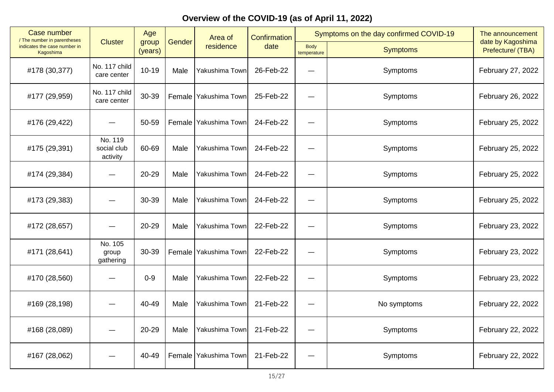| Case number<br>/ The number in parentheses |                                    | Age              |        | Area of               | <b>Confirmation</b> | Symptoms on the day confirmed COVID-19 |                 | The announcement                       |  |
|--------------------------------------------|------------------------------------|------------------|--------|-----------------------|---------------------|----------------------------------------|-----------------|----------------------------------------|--|
| indicates the case number in<br>Kagoshima  | <b>Cluster</b>                     | group<br>(years) | Gender | residence             | date                | Body<br>temperature                    | <b>Symptoms</b> | date by Kagoshima<br>Prefecture/ (TBA) |  |
| #178 (30,377)                              | No. 117 child<br>care center       | $10 - 19$        | Male   | Yakushima Town        | 26-Feb-22           |                                        | Symptoms        | February 27, 2022                      |  |
| #177 (29,959)                              | No. 117 child<br>care center       | 30-39            | Female | Yakushima Town        | 25-Feb-22           |                                        | Symptoms        | February 26, 2022                      |  |
| #176 (29,422)                              |                                    | 50-59            |        | Female Yakushima Town | 24-Feb-22           |                                        | Symptoms        | February 25, 2022                      |  |
| #175 (29,391)                              | No. 119<br>social club<br>activity | 60-69            | Male   | Yakushima Town        | 24-Feb-22           |                                        | Symptoms        | February 25, 2022                      |  |
| #174 (29,384)                              |                                    | 20-29            | Male   | Yakushima Town        | 24-Feb-22           |                                        | Symptoms        | February 25, 2022                      |  |
| #173 (29,383)                              |                                    | 30-39            | Male   | Yakushima Town        | 24-Feb-22           |                                        | Symptoms        | February 25, 2022                      |  |
| #172 (28,657)                              |                                    | 20-29            | Male   | Yakushima Town        | 22-Feb-22           |                                        | Symptoms        | February 23, 2022                      |  |
| #171 (28,641)                              | No. 105<br>group<br>gathering      | 30-39            | Female | Yakushima Town        | 22-Feb-22           | ٠                                      | Symptoms        | February 23, 2022                      |  |
| #170 (28,560)                              |                                    | $0 - 9$          | Male   | Yakushima Town        | 22-Feb-22           |                                        | Symptoms        | February 23, 2022                      |  |
| #169 (28,198)                              |                                    | 40-49            | Male   | Yakushima Town        | 21-Feb-22           |                                        | No symptoms     | February 22, 2022                      |  |
| #168 (28,089)                              |                                    | 20-29            | Male   | Yakushima Town        | 21-Feb-22           | —                                      | Symptoms        | February 22, 2022                      |  |
| #167 (28,062)                              |                                    | 40-49            | Female | Yakushima Town        | 21-Feb-22           |                                        | Symptoms        | February 22, 2022                      |  |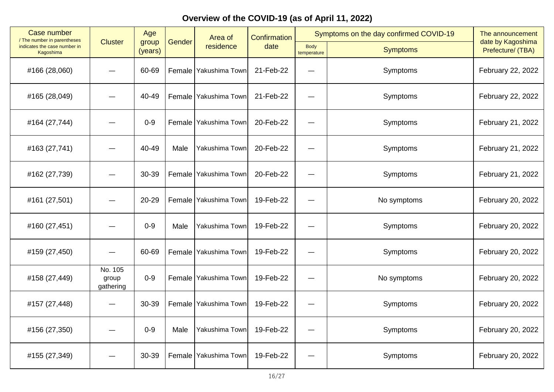| Case number<br>/ The number in parentheses | Age                           |                  |        | Area of                 | Confirmation |                            | Symptoms on the day confirmed COVID-19<br>The announcement |                                        |
|--------------------------------------------|-------------------------------|------------------|--------|-------------------------|--------------|----------------------------|------------------------------------------------------------|----------------------------------------|
| indicates the case number in<br>Kagoshima  | <b>Cluster</b>                | group<br>(years) | Gender | residence               | date         | <b>Body</b><br>temperature | <b>Symptoms</b>                                            | date by Kagoshima<br>Prefecture/ (TBA) |
| #166 (28,060)                              |                               | 60-69            |        | Female   Yakushima Town | 21-Feb-22    |                            | Symptoms                                                   | February 22, 2022                      |
| #165 (28,049)                              |                               | 40-49            |        | Female Yakushima Town   | 21-Feb-22    |                            | Symptoms                                                   | February 22, 2022                      |
| #164 (27,744)                              |                               | $0 - 9$          |        | Female Yakushima Town   | 20-Feb-22    |                            | Symptoms                                                   | February 21, 2022                      |
| #163 (27,741)                              |                               | 40-49            | Male   | Yakushima Town          | 20-Feb-22    | —                          | Symptoms                                                   | February 21, 2022                      |
| #162 (27,739)                              |                               | 30-39            |        | Female Yakushima Town   | 20-Feb-22    |                            | Symptoms                                                   | February 21, 2022                      |
| #161 (27,501)                              |                               | 20-29            |        | Female Yakushima Town   | 19-Feb-22    |                            | No symptoms                                                | February 20, 2022                      |
| #160 (27,451)                              |                               | $0-9$            | Male   | Yakushima Town          | 19-Feb-22    |                            | Symptoms                                                   | February 20, 2022                      |
| #159 (27,450)                              |                               | 60-69            |        | Female Yakushima Town   | 19-Feb-22    |                            | Symptoms                                                   | February 20, 2022                      |
| #158 (27,449)                              | No. 105<br>group<br>gathering | $0 - 9$          |        | Female   Yakushima Town | 19-Feb-22    |                            | No symptoms                                                | February 20, 2022                      |
| #157 (27,448)                              |                               | 30-39            |        | Female Yakushima Town   | 19-Feb-22    |                            | Symptoms                                                   | February 20, 2022                      |
| #156 (27,350)                              |                               | $0-9$            | Male   | Yakushima Town          | 19-Feb-22    |                            | Symptoms                                                   | February 20, 2022                      |
| #155 (27,349)                              |                               | 30-39            |        | Female   Yakushima Town | 19-Feb-22    |                            | Symptoms                                                   | February 20, 2022                      |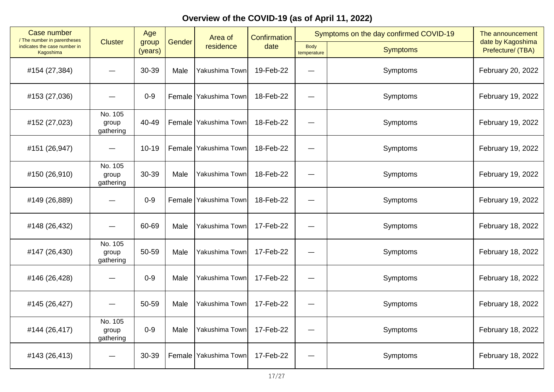| Case number                               | Age<br>/ The number in parentheses |                  |               | Area of                 | <b>Confirmation</b> |                            | Symptoms on the day confirmed COVID-19 | The announcement                       |
|-------------------------------------------|------------------------------------|------------------|---------------|-------------------------|---------------------|----------------------------|----------------------------------------|----------------------------------------|
| indicates the case number in<br>Kagoshima | <b>Cluster</b>                     | group<br>(years) | Gender        | residence               | date                | <b>Body</b><br>temperature | <b>Symptoms</b>                        | date by Kagoshima<br>Prefecture/ (TBA) |
| #154 (27,384)                             |                                    | 30-39            | Male          | Yakushima Town          | 19-Feb-22           |                            | Symptoms                               | February 20, 2022                      |
| #153 (27,036)                             |                                    | $0-9$            | Female        | Yakushima Town          | 18-Feb-22           | —                          | Symptoms                               | February 19, 2022                      |
| #152 (27,023)                             | No. 105<br>group<br>gathering      | 40-49            |               | Female   Yakushima Town | 18-Feb-22           |                            | Symptoms                               | February 19, 2022                      |
| #151 (26,947)                             |                                    | $10 - 19$        | <b>Female</b> | Yakushima Town          | 18-Feb-22           |                            | Symptoms                               | February 19, 2022                      |
| #150 (26,910)                             | No. 105<br>group<br>gathering      | 30-39            | Male          | Yakushima Town          | 18-Feb-22           |                            | Symptoms                               | February 19, 2022                      |
| #149 (26,889)                             |                                    | $0 - 9$          | Female        | Yakushima Town          | 18-Feb-22           |                            | Symptoms                               | February 19, 2022                      |
| #148 (26,432)                             |                                    | 60-69            | Male          | Yakushima Town          | 17-Feb-22           |                            | Symptoms                               | February 18, 2022                      |
| #147 (26,430)                             | No. 105<br>group<br>gathering      | 50-59            | Male          | Yakushima Town          | 17-Feb-22           | $\overline{\phantom{0}}$   | Symptoms                               | February 18, 2022                      |
| #146 (26,428)                             |                                    | $0 - 9$          | Male          | Yakushima Town          | 17-Feb-22           |                            | Symptoms                               | February 18, 2022                      |
| #145 (26,427)                             |                                    | 50-59            | Male          | Yakushima Town          | 17-Feb-22           |                            | Symptoms                               | February 18, 2022                      |
| #144 (26,417)                             | No. 105<br>group<br>gathering      | $0-9$            | Male          | Yakushima Town          | 17-Feb-22           | —                          | Symptoms                               | February 18, 2022                      |
| #143 (26,413)                             |                                    | 30-39            | Female        | Yakushima Town          | 17-Feb-22           |                            | Symptoms                               | February 18, 2022                      |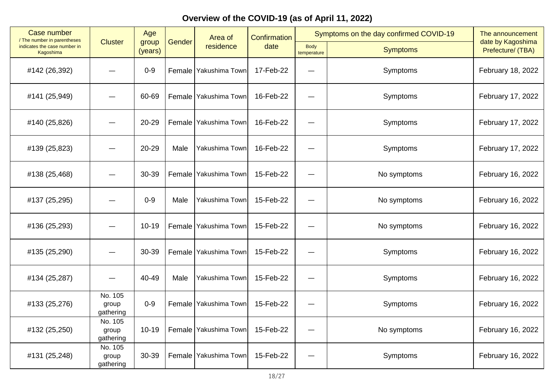| Case number<br>/ The number in parentheses | Age                           |                  |               | Area of                 | <b>Confirmation</b> |                            | Symptoms on the day confirmed COVID-19 | The announcement                       |
|--------------------------------------------|-------------------------------|------------------|---------------|-------------------------|---------------------|----------------------------|----------------------------------------|----------------------------------------|
| indicates the case number in<br>Kagoshima  | <b>Cluster</b>                | group<br>(years) | Gender        | residence               | date                | <b>Body</b><br>temperature | <b>Symptoms</b>                        | date by Kagoshima<br>Prefecture/ (TBA) |
| #142 (26,392)                              |                               | $0 - 9$          |               | Female   Yakushima Town | 17-Feb-22           |                            | Symptoms                               | February 18, 2022                      |
| #141 (25,949)                              |                               | 60-69            | <b>Female</b> | Yakushima Town          | 16-Feb-22           |                            | Symptoms                               | February 17, 2022                      |
| #140 (25,826)                              |                               | 20-29            | <b>Female</b> | Yakushima Town          | 16-Feb-22           |                            | Symptoms                               | February 17, 2022                      |
| #139 (25,823)                              |                               | 20-29            | Male          | Yakushima Town          | 16-Feb-22           |                            | Symptoms                               | February 17, 2022                      |
| #138 (25,468)                              |                               | 30-39            | Female        | Yakushima Town          | 15-Feb-22           |                            | No symptoms                            | February 16, 2022                      |
| #137 (25,295)                              |                               | $0-9$            | Male          | Yakushima Town          | 15-Feb-22           |                            | No symptoms                            | February 16, 2022                      |
| #136 (25,293)                              |                               | $10 - 19$        |               | Female Yakushima Town   | 15-Feb-22           |                            | No symptoms                            | February 16, 2022                      |
| #135 (25,290)                              |                               | 30-39            |               | Female   Yakushima Town | 15-Feb-22           |                            | Symptoms                               | February 16, 2022                      |
| #134 (25,287)                              |                               | 40-49            | Male          | Yakushima Town          | 15-Feb-22           |                            | Symptoms                               | February 16, 2022                      |
| #133 (25,276)                              | No. 105<br>group<br>gathering | $0-9$            |               | Female Yakushima Town   | 15-Feb-22           |                            | Symptoms                               | February 16, 2022                      |
| #132 (25,250)                              | No. 105<br>group<br>gathering | $10 - 19$        | <b>Female</b> | Yakushima Town          | 15-Feb-22           |                            | No symptoms                            | February 16, 2022                      |
| #131 (25,248)                              | No. 105<br>group<br>gathering | 30-39            | Female        | Yakushima Town          | 15-Feb-22           |                            | Symptoms                               | February 16, 2022                      |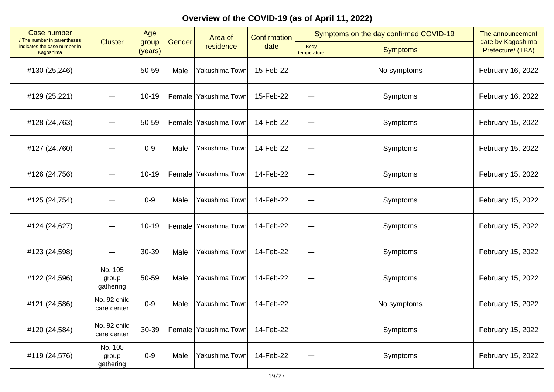| Case number                               | Age<br>/ The number in parentheses |                  | Area of |                       | Confirmation |                            | Symptoms on the day confirmed COVID-19 | The announcement                       |
|-------------------------------------------|------------------------------------|------------------|---------|-----------------------|--------------|----------------------------|----------------------------------------|----------------------------------------|
| indicates the case number in<br>Kagoshima | <b>Cluster</b>                     | group<br>(years) | Gender  | residence             | date         | <b>Body</b><br>temperature | <b>Symptoms</b>                        | date by Kagoshima<br>Prefecture/ (TBA) |
| #130 (25,246)                             |                                    | 50-59            | Male    | Yakushima Town        | 15-Feb-22    |                            | No symptoms                            | February 16, 2022                      |
| #129 (25,221)                             |                                    | $10 - 19$        | Female  | Yakushima Town        | 15-Feb-22    |                            | Symptoms                               | February 16, 2022                      |
| #128 (24,763)                             |                                    | 50-59            |         | Female Yakushima Town | 14-Feb-22    |                            | Symptoms                               | February 15, 2022                      |
| #127 (24,760)                             |                                    | $0 - 9$          | Male    | Yakushima Town        | 14-Feb-22    |                            | Symptoms                               | February 15, 2022                      |
| #126 (24,756)                             |                                    | $10 - 19$        | Female  | Yakushima Town        | 14-Feb-22    |                            | Symptoms                               | February 15, 2022                      |
| #125 (24,754)                             |                                    | $0 - 9$          | Male    | Yakushima Town        | 14-Feb-22    |                            | Symptoms                               | February 15, 2022                      |
| #124 (24,627)                             |                                    | $10 - 19$        |         | Female Yakushima Town | 14-Feb-22    |                            | Symptoms                               | February 15, 2022                      |
| #123 (24,598)                             |                                    | 30-39            | Male    | Yakushima Town        | 14-Feb-22    |                            | Symptoms                               | February 15, 2022                      |
| #122 (24,596)                             | No. 105<br>group<br>gathering      | 50-59            | Male    | Yakushima Town        | 14-Feb-22    |                            | Symptoms                               | February 15, 2022                      |
| #121 (24,586)                             | No. 92 child<br>care center        | $0 - 9$          | Male    | Yakushima Town        | 14-Feb-22    |                            | No symptoms                            | February 15, 2022                      |
| #120 (24,584)                             | No. 92 child<br>care center        | 30-39            | Female  | Yakushima Town        | 14-Feb-22    | —                          | Symptoms                               | February 15, 2022                      |
| #119 (24,576)                             | No. 105<br>group<br>gathering      | $0 - 9$          | Male    | Yakushima Town        | 14-Feb-22    |                            | Symptoms                               | February 15, 2022                      |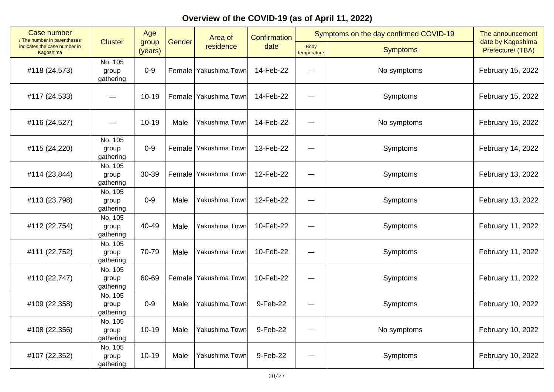| <b>Case number</b><br>/ The number in parentheses |                               | Age              |        | Area of               | <b>Confirmation</b> |                            | Symptoms on the day confirmed COVID-19 | The announcement                       |
|---------------------------------------------------|-------------------------------|------------------|--------|-----------------------|---------------------|----------------------------|----------------------------------------|----------------------------------------|
| indicates the case number in<br>Kagoshima         | <b>Cluster</b>                | group<br>(years) | Gender | residence             | date                | <b>Body</b><br>temperature | <b>Symptoms</b>                        | date by Kagoshima<br>Prefecture/ (TBA) |
| #118 (24,573)                                     | No. 105<br>group<br>gathering | $0 - 9$          |        | Female Yakushima Town | 14-Feb-22           |                            | No symptoms                            | February 15, 2022                      |
| #117 (24,533)                                     |                               | $10 - 19$        | Female | Yakushima Town        | 14-Feb-22           |                            | Symptoms                               | February 15, 2022                      |
| #116 (24,527)                                     |                               | $10 - 19$        | Male   | Yakushima Town        | 14-Feb-22           |                            | No symptoms                            | February 15, 2022                      |
| #115 (24,220)                                     | No. 105<br>group<br>gathering | $0 - 9$          | Female | Yakushima Town        | 13-Feb-22           | —                          | Symptoms                               | February 14, 2022                      |
| #114 (23,844)                                     | No. 105<br>group<br>gathering | 30-39            | Female | Yakushima Town        | 12-Feb-22           |                            | Symptoms                               | February 13, 2022                      |
| #113 (23,798)                                     | No. 105<br>group<br>gathering | $0 - 9$          | Male   | Yakushima Town        | 12-Feb-22           |                            | Symptoms                               | February 13, 2022                      |
| #112 (22,754)                                     | No. 105<br>group<br>gathering | 40-49            | Male   | Yakushima Town        | 10-Feb-22           |                            | Symptoms                               | February 11, 2022                      |
| #111 (22,752)                                     | No. 105<br>group<br>gathering | 70-79            | Male   | Yakushima Town        | 10-Feb-22           |                            | Symptoms                               | February 11, 2022                      |
| #110 (22,747)                                     | No. 105<br>group<br>gathering | 60-69            |        | Female Yakushima Town | 10-Feb-22           |                            | Symptoms                               | February 11, 2022                      |
| #109 (22,358)                                     | No. 105<br>group<br>gathering | $0 - 9$          | Male   | Yakushima Town        | 9-Feb-22            | —                          | Symptoms                               | February 10, 2022                      |
| #108 (22,356)                                     | No. 105<br>group<br>gathering | $10 - 19$        | Male   | Yakushima Town        | 9-Feb-22            |                            | No symptoms                            | February 10, 2022                      |
| #107 (22,352)                                     | No. 105<br>group<br>gathering | $10 - 19$        | Male   | Yakushima Town        | 9-Feb-22            |                            | Symptoms                               | February 10, 2022                      |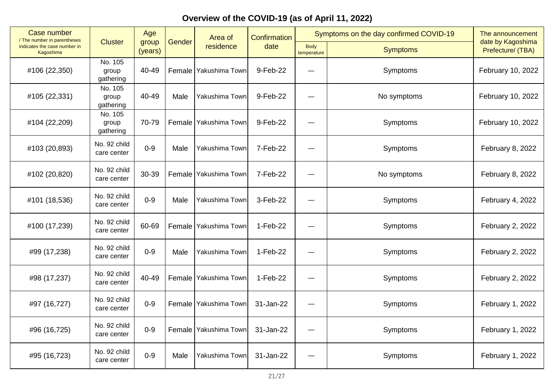| <b>Case number</b><br>/ The number in parentheses |                               | Age              |        | Area of                 | Confirmation |                            | Symptoms on the day confirmed COVID-19 | The announcement                       |
|---------------------------------------------------|-------------------------------|------------------|--------|-------------------------|--------------|----------------------------|----------------------------------------|----------------------------------------|
| indicates the case number in<br>Kagoshima         | <b>Cluster</b>                | group<br>(years) | Gender | residence               | date         | <b>Body</b><br>temperature | <b>Symptoms</b>                        | date by Kagoshima<br>Prefecture/ (TBA) |
| #106 (22,350)                                     | No. 105<br>group<br>gathering | 40-49            |        | Female   Yakushima Town | 9-Feb-22     |                            | Symptoms                               | February 10, 2022                      |
| #105 (22,331)                                     | No. 105<br>group<br>gathering | 40-49            | Male   | Yakushima Town          | 9-Feb-22     |                            | No symptoms                            | February 10, 2022                      |
| #104 (22,209)                                     | No. 105<br>group<br>gathering | 70-79            |        | Female Yakushima Town   | 9-Feb-22     |                            | Symptoms                               | February 10, 2022                      |
| #103 (20,893)                                     | No. 92 child<br>care center   | $0 - 9$          | Male   | Yakushima Town          | 7-Feb-22     |                            | Symptoms                               | February 8, 2022                       |
| #102 (20,820)                                     | No. 92 child<br>care center   | 30-39            | Female | Yakushima Town          | 7-Feb-22     |                            | No symptoms                            | February 8, 2022                       |
| #101 (18,536)                                     | No. 92 child<br>care center   | $0 - 9$          | Male   | Yakushima Town          | 3-Feb-22     |                            | Symptoms                               | February 4, 2022                       |
| #100 (17,239)                                     | No. 92 child<br>care center   | 60-69            |        | Female Yakushima Town   | $1-Feb-22$   |                            | Symptoms                               | February 2, 2022                       |
| #99 (17,238)                                      | No. 92 child<br>care center   | $0 - 9$          | Male   | Yakushima Town          | 1-Feb-22     |                            | Symptoms                               | February 2, 2022                       |
| #98 (17,237)                                      | No. 92 child<br>care center   | 40-49            |        | Female Yakushima Town   | 1-Feb-22     |                            | Symptoms                               | February 2, 2022                       |
| #97 (16,727)                                      | No. 92 child<br>care center   | $0 - 9$          |        | Female Yakushima Town   | 31-Jan-22    |                            | Symptoms                               | February 1, 2022                       |
| #96 (16,725)                                      | No. 92 child<br>care center   | $0 - 9$          |        | Female Yakushima Town   | 31-Jan-22    | —                          | Symptoms                               | February 1, 2022                       |
| #95 (16,723)                                      | No. 92 child<br>care center   | $0 - 9$          | Male   | Yakushima Town          | 31-Jan-22    |                            | Symptoms                               | February 1, 2022                       |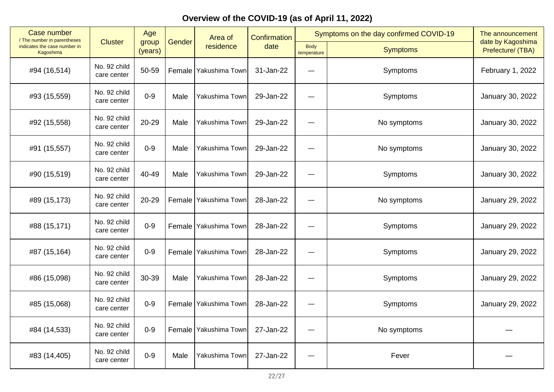| Case number                               | / The number in parentheses |                  |        | Area of                 | <b>Confirmation</b> |                            | Symptoms on the day confirmed COVID-19 | The announcement                       |
|-------------------------------------------|-----------------------------|------------------|--------|-------------------------|---------------------|----------------------------|----------------------------------------|----------------------------------------|
| indicates the case number in<br>Kagoshima | <b>Cluster</b>              | group<br>(years) | Gender | residence               | date                | <b>Body</b><br>temperature | <b>Symptoms</b>                        | date by Kagoshima<br>Prefecture/ (TBA) |
| #94 (16,514)                              | No. 92 child<br>care center | 50-59            |        | Female Yakushima Town   | 31-Jan-22           |                            | Symptoms                               | February 1, 2022                       |
| #93 (15,559)                              | No. 92 child<br>care center | $0 - 9$          | Male   | Yakushima Town          | 29-Jan-22           |                            | Symptoms                               | January 30, 2022                       |
| #92 (15,558)                              | No. 92 child<br>care center | 20-29            | Male   | Yakushima Town          | 29-Jan-22           |                            | No symptoms                            | January 30, 2022                       |
| #91 (15,557)                              | No. 92 child<br>care center | $0 - 9$          | Male   | Yakushima Town          | 29-Jan-22           |                            | No symptoms                            | January 30, 2022                       |
| #90 (15,519)                              | No. 92 child<br>care center | 40-49            | Male   | Yakushima Town          | 29-Jan-22           |                            | Symptoms                               | January 30, 2022                       |
| #89 (15,173)                              | No. 92 child<br>care center | 20-29            | Female | Yakushima Town          | 28-Jan-22           |                            | No symptoms                            | January 29, 2022                       |
| #88 (15,171)                              | No. 92 child<br>care center | $0-9$            |        | Female   Yakushima Town | 28-Jan-22           |                            | Symptoms                               | January 29, 2022                       |
| #87 (15,164)                              | No. 92 child<br>care center | $0 - 9$          | Female | Yakushima Town          | 28-Jan-22           |                            | Symptoms                               | January 29, 2022                       |
| #86 (15,098)                              | No. 92 child<br>care center | 30-39            | Male   | Yakushima Town          | 28-Jan-22           |                            | Symptoms                               | January 29, 2022                       |
| #85 (15,068)                              | No. 92 child<br>care center | $0 - 9$          |        | Female   Yakushima Town | 28-Jan-22           |                            | Symptoms                               | January 29, 2022                       |
| #84 (14,533)                              | No. 92 child<br>care center | $0 - 9$          | Female | Yakushima Town          | 27-Jan-22           |                            | No symptoms                            |                                        |
| #83 (14,405)                              | No. 92 child<br>care center | $0 - 9$          | Male   | Yakushima Town          | 27-Jan-22           |                            | Fever                                  |                                        |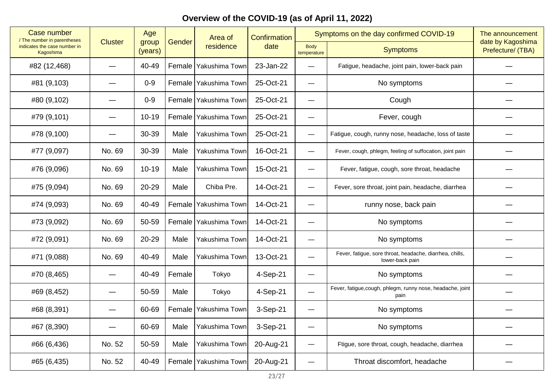| <b>Case number</b><br>/ The number in parentheses |                | Age              |        | Area of                 | <b>Confirmation</b> | Symptoms on the day confirmed COVID-19 |                                                                             | The announcement<br>date by Kagoshima |
|---------------------------------------------------|----------------|------------------|--------|-------------------------|---------------------|----------------------------------------|-----------------------------------------------------------------------------|---------------------------------------|
| indicates the case number in<br>Kagoshima         | <b>Cluster</b> | group<br>(years) | Gender | residence               | date                | <b>Body</b><br>temperature             | <b>Symptoms</b>                                                             | Prefecture/ (TBA)                     |
| #82 (12,468)                                      |                | 40-49            |        | Female Yakushima Town   | 23-Jan-22           | $\equiv$                               | Fatigue, headache, joint pain, lower-back pain                              |                                       |
| #81 (9,103)                                       |                | $0-9$            |        | Female Yakushima Town   | 25-Oct-21           |                                        | No symptoms                                                                 |                                       |
| #80 (9,102)                                       |                | $0-9$            |        | Female Yakushima Town   | 25-Oct-21           | —                                      | Cough                                                                       |                                       |
| #79 (9,101)                                       |                | $10 - 19$        |        | Female Yakushima Town   | 25-Oct-21           | —                                      | Fever, cough                                                                |                                       |
| #78 (9,100)                                       |                | 30-39            | Male   | Yakushima Town          | 25-Oct-21           | —                                      | Fatigue, cough, runny nose, headache, loss of taste                         |                                       |
| #77 (9,097)                                       | No. 69         | 30-39            | Male   | Yakushima Town          | 16-Oct-21           | $\qquad \qquad -$                      | Fever, cough, phlegm, feeling of suffocation, joint pain                    |                                       |
| #76 (9,096)                                       | No. 69         | $10 - 19$        | Male   | Yakushima Town          | 15-Oct-21           | $\qquad \qquad$                        | Fever, fatigue, cough, sore throat, headache                                |                                       |
| #75 (9,094)                                       | No. 69         | 20-29            | Male   | Chiba Pre.              | 14-Oct-21           | $\overline{\phantom{0}}$               | Fever, sore throat, joint pain, headache, diarrhea                          |                                       |
| #74 (9,093)                                       | No. 69         | 40-49            |        | Female   Yakushima Town | 14-Oct-21           | $\overline{\phantom{0}}$               | runny nose, back pain                                                       |                                       |
| #73 (9,092)                                       | No. 69         | 50-59            | Female | Yakushima Town          | 14-Oct-21           | —                                      | No symptoms                                                                 |                                       |
| #72 (9,091)                                       | No. 69         | 20-29            | Male   | Yakushima Town          | 14-Oct-21           | —                                      | No symptoms                                                                 |                                       |
| #71 (9,088)                                       | No. 69         | 40-49            | Male   | Yakushima Town          | 13-Oct-21           | $\equiv$                               | Fever, fatigue, sore throat, headache, diarrhea, chills,<br>lower-back pain |                                       |
| #70 (8,465)                                       |                | 40-49            | Female | Tokyo                   | 4-Sep-21            | —                                      | No symptoms                                                                 |                                       |
| #69 (8,452)                                       |                | 50-59            | Male   | Tokyo                   | 4-Sep-21            | $\qquad \qquad$                        | Fever, fatigue, cough, phlegm, runny nose, headache, joint<br>pain          |                                       |
| #68 (8,391)                                       |                | 60-69            | Female | Yakushima Town          | 3-Sep-21            | —                                      | No symptoms                                                                 |                                       |
| #67 (8,390)                                       |                | 60-69            | Male   | Yakushima Town          | 3-Sep-21            |                                        | No symptoms                                                                 |                                       |
| #66 (6,436)                                       | No. 52         | 50-59            | Male   | Yakushima Town          | 20-Aug-21           | $\overline{\phantom{0}}$               | Ftigue, sore throat, cough, headache, diarrhea                              |                                       |
| #65 (6,435)                                       | No. 52         | 40-49            |        | Female Yakushima Town   | 20-Aug-21           | $\qquad \qquad$                        | Throat discomfort, headache                                                 |                                       |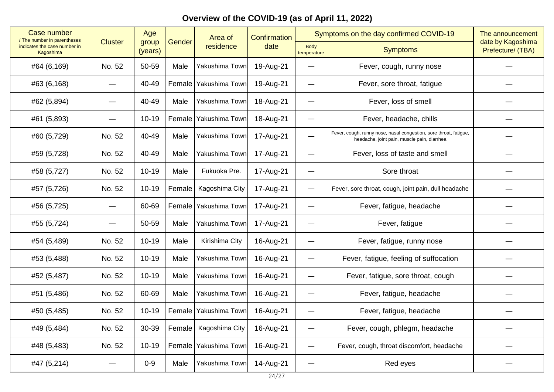| <b>Case number</b><br>/ The number in parentheses |        | Age<br><b>Cluster</b> |        | Area of                 | Confirmation | Symptoms on the day confirmed COVID-19 |                                                                                                                  | The announcement                       |
|---------------------------------------------------|--------|-----------------------|--------|-------------------------|--------------|----------------------------------------|------------------------------------------------------------------------------------------------------------------|----------------------------------------|
| indicates the case number in<br>Kagoshima         |        | group<br>(years)      | Gender | residence               | date         | <b>Body</b><br>temperature             | <b>Symptoms</b>                                                                                                  | date by Kagoshima<br>Prefecture/ (TBA) |
| #64 (6,169)                                       | No. 52 | 50-59                 | Male   | Yakushima Town          | 19-Aug-21    |                                        | Fever, cough, runny nose                                                                                         |                                        |
| #63 (6,168)                                       |        | 40-49                 |        | Female Yakushima Town   | 19-Aug-21    | —                                      | Fever, sore throat, fatigue                                                                                      |                                        |
| #62 (5,894)                                       |        | 40-49                 | Male   | Yakushima Town          | 18-Aug-21    | —                                      | Fever, loss of smell                                                                                             |                                        |
| #61 (5,893)                                       |        | $10 - 19$             |        | Female Yakushima Town   | 18-Aug-21    | —                                      | Fever, headache, chills                                                                                          |                                        |
| #60 (5,729)                                       | No. 52 | 40-49                 | Male   | Yakushima Town          | 17-Aug-21    | $\overline{\phantom{0}}$               | Fever, cough, runny nose, nasal congestion, sore throat, fatigue,<br>headache, joint pain, muscle pain, diarrhea |                                        |
| #59 (5,728)                                       | No. 52 | 40-49                 | Male   | Yakushima Town          | 17-Aug-21    |                                        | Fever, loss of taste and smell                                                                                   |                                        |
| #58 (5,727)                                       | No. 52 | $10 - 19$             | Male   | Fukuoka Pre.            | 17-Aug-21    | —                                      | Sore throat                                                                                                      |                                        |
| #57 (5,726)                                       | No. 52 | $10 - 19$             | Female | Kagoshima City          | 17-Aug-21    | —                                      | Fever, sore throat, cough, joint pain, dull headache                                                             |                                        |
| #56 (5,725)                                       |        | 60-69                 |        | Female Yakushima Town   | 17-Aug-21    | —                                      | Fever, fatigue, headache                                                                                         |                                        |
| #55 (5,724)                                       |        | 50-59                 | Male   | Yakushima Town          | 17-Aug-21    |                                        | Fever, fatigue                                                                                                   |                                        |
| #54 (5,489)                                       | No. 52 | $10 - 19$             | Male   | Kirishima City          | 16-Aug-21    |                                        | Fever, fatigue, runny nose                                                                                       |                                        |
| #53 (5,488)                                       | No. 52 | $10 - 19$             | Male   | Yakushima Town          | 16-Aug-21    | —                                      | Fever, fatigue, feeling of suffocation                                                                           |                                        |
| #52 (5,487)                                       | No. 52 | $10 - 19$             | Male   | Yakushima Town          | 16-Aug-21    |                                        | Fever, fatigue, sore throat, cough                                                                               |                                        |
| #51 (5,486)                                       | No. 52 | 60-69                 | Male   | Yakushima Town          | 16-Aug-21    |                                        | Fever, fatigue, headache                                                                                         |                                        |
| #50 (5,485)                                       | No. 52 | $10 - 19$             |        | Female Yakushima Town   | 16-Aug-21    | —                                      | Fever, fatigue, headache                                                                                         |                                        |
| #49 (5,484)                                       | No. 52 | 30-39                 |        | Female   Kagoshima City | 16-Aug-21    | —                                      | Fever, cough, phlegm, headache                                                                                   |                                        |
| #48 (5,483)                                       | No. 52 | $10 - 19$             |        | Female Yakushima Town   | 16-Aug-21    | —                                      | Fever, cough, throat discomfort, headache                                                                        |                                        |
| #47 (5,214)                                       |        | $0-9$                 | Male   | Yakushima Town          | 14-Aug-21    | —                                      | Red eyes                                                                                                         |                                        |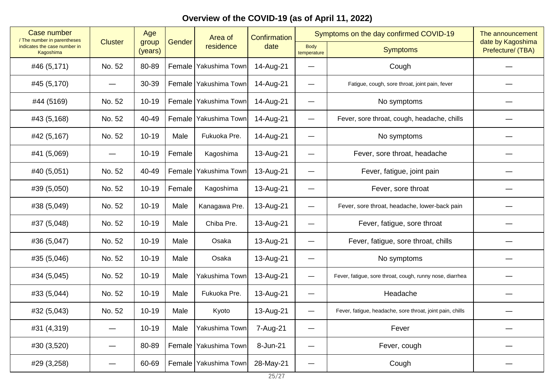| Case number<br>/ The number in parentheses | <b>Cluster</b> | Age              | Gender | Area of<br>residence  | Confirmation<br>date | Symptoms on the day confirmed COVID-19 |                                                           | The announcement                       |
|--------------------------------------------|----------------|------------------|--------|-----------------------|----------------------|----------------------------------------|-----------------------------------------------------------|----------------------------------------|
| indicates the case number in<br>Kagoshima  |                | group<br>(years) |        |                       |                      | <b>Body</b><br>temperature             | <b>Symptoms</b>                                           | date by Kagoshima<br>Prefecture/ (TBA) |
| #46 (5,171)                                | No. 52         | 80-89            |        | Female Yakushima Town | 14-Aug-21            |                                        | Cough                                                     |                                        |
| #45 (5,170)                                |                | 30-39            |        | Female Yakushima Town | 14-Aug-21            | —                                      | Fatigue, cough, sore throat, joint pain, fever            |                                        |
| #44 (5169)                                 | No. 52         | $10 - 19$        |        | Female Yakushima Town | 14-Aug-21            | $\overline{\phantom{0}}$               | No symptoms                                               |                                        |
| #43 (5,168)                                | No. 52         | 40-49            |        | Female Yakushima Town | 14-Aug-21            | $\overline{\phantom{0}}$               | Fever, sore throat, cough, headache, chills               |                                        |
| #42 (5,167)                                | No. 52         | $10 - 19$        | Male   | Fukuoka Pre.          | 14-Aug-21            | —                                      | No symptoms                                               |                                        |
| #41 (5,069)                                |                | $10 - 19$        | Female | Kagoshima             | 13-Aug-21            |                                        | Fever, sore throat, headache                              |                                        |
| #40 (5,051)                                | No. 52         | 40-49            | Female | Yakushima Town        | 13-Aug-21            | —                                      | Fever, fatigue, joint pain                                |                                        |
| #39 (5,050)                                | No. 52         | $10 - 19$        | Female | Kagoshima             | 13-Aug-21            | —                                      | Fever, sore throat                                        |                                        |
| #38 (5,049)                                | No. 52         | $10 - 19$        | Male   | Kanagawa Pre.         | 13-Aug-21            | —                                      | Fever, sore throat, headache, lower-back pain             |                                        |
| #37 (5,048)                                | No. 52         | $10 - 19$        | Male   | Chiba Pre.            | 13-Aug-21            |                                        | Fever, fatigue, sore throat                               |                                        |
| #36 (5,047)                                | No. 52         | $10 - 19$        | Male   | Osaka                 | 13-Aug-21            | —                                      | Fever, fatigue, sore throat, chills                       |                                        |
| #35 (5,046)                                | No. 52         | $10 - 19$        | Male   | Osaka                 | 13-Aug-21            | $\overline{\phantom{0}}$               | No symptoms                                               |                                        |
| #34 (5,045)                                | No. 52         | $10 - 19$        | Male   | Yakushima Town        | 13-Aug-21            | —                                      | Fever, fatigue, sore throat, cough, runny nose, diarrhea  |                                        |
| #33 (5,044)                                | No. 52         | $10 - 19$        | Male   | Fukuoka Pre.          | 13-Aug-21            | —                                      | Headache                                                  |                                        |
| #32 (5,043)                                | No. 52         | $10 - 19$        | Male   | Kyoto                 | 13-Aug-21            | —                                      | Fever, fatigue, headache, sore throat, joint pain, chills |                                        |
| #31 (4,319)                                |                | $10 - 19$        | Male   | Yakushima Town        | 7-Aug-21             | —                                      | Fever                                                     |                                        |
| #30 (3,520)                                |                | 80-89            |        | Female Yakushima Town | 8-Jun-21             | —                                      | Fever, cough                                              |                                        |
| #29 (3,258)                                |                | 60-69            |        | Female Yakushima Town | 28-May-21            | —                                      | Cough                                                     |                                        |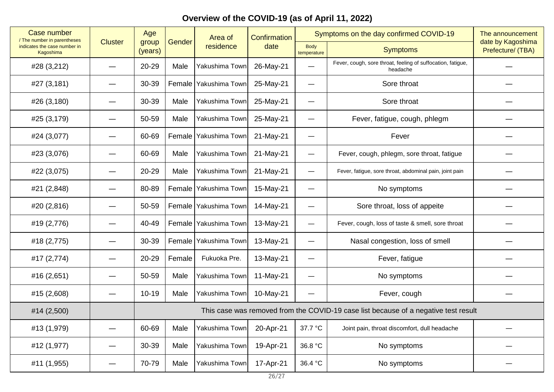| <b>Case number</b><br>/ The number in parentheses |                | Age                                                                                 | Gender<br>group | Area of<br>residence    | Confirmation<br>date | Symptoms on the day confirmed COVID-19 |                                                                         | The announcement                       |  |
|---------------------------------------------------|----------------|-------------------------------------------------------------------------------------|-----------------|-------------------------|----------------------|----------------------------------------|-------------------------------------------------------------------------|----------------------------------------|--|
| indicates the case number in<br>Kagoshima         | <b>Cluster</b> | (years)                                                                             |                 |                         |                      | <b>Body</b><br>temperature             | <b>Symptoms</b>                                                         | date by Kagoshima<br>Prefecture/ (TBA) |  |
| #28 (3,212)                                       |                | 20-29                                                                               | Male            | Yakushima Town          | 26-May-21            | —                                      | Fever, cough, sore throat, feeling of suffocation, fatigue,<br>headache |                                        |  |
| #27 (3,181)                                       |                | 30-39                                                                               |                 | Female   Yakushima Town | 25-May-21            | $\qquad \qquad$                        | Sore throat                                                             |                                        |  |
| #26 (3,180)                                       |                | 30-39                                                                               | Male            | Yakushima Town          | 25-May-21            | --                                     | Sore throat                                                             |                                        |  |
| #25 (3,179)                                       |                | 50-59                                                                               | Male            | Yakushima Town          | 25-May-21            | —                                      | Fever, fatigue, cough, phlegm                                           |                                        |  |
| #24 (3,077)                                       |                | 60-69                                                                               |                 | Female   Yakushima Town | 21-May-21            | —                                      | Fever                                                                   |                                        |  |
| #23 (3,076)                                       |                | 60-69                                                                               | Male            | Yakushima Town          | 21-May-21            | $\overline{\phantom{0}}$               | Fever, cough, phlegm, sore throat, fatigue                              |                                        |  |
| #22 (3,075)                                       |                | 20-29                                                                               | Male            | Yakushima Town          | 21-May-21            | $\overline{\phantom{0}}$               | Fever, fatigue, sore throat, abdominal pain, joint pain                 |                                        |  |
| #21 (2,848)                                       |                | 80-89                                                                               |                 | Female Yakushima Town   | 15-May-21            | e e                                    | No symptoms                                                             |                                        |  |
| #20 (2,816)                                       |                | 50-59                                                                               |                 | Female Yakushima Town   | 14-May-21            | --                                     | Sore throat, loss of appeite                                            |                                        |  |
| #19 (2,776)                                       |                | 40-49                                                                               |                 | Female   Yakushima Town | 13-May-21            | $\overline{\phantom{0}}$               | Fever, cough, loss of taste & smell, sore throat                        |                                        |  |
| #18 (2,775)                                       |                | 30-39                                                                               |                 | Female Yakushima Town   | 13-May-21            |                                        | Nasal congestion, loss of smell                                         |                                        |  |
| #17 (2,774)                                       |                | 20-29                                                                               | Female          | Fukuoka Pre.            | 13-May-21            | —                                      | Fever, fatigue                                                          |                                        |  |
| #16 (2,651)                                       |                | 50-59                                                                               | Male            | Yakushima Town          | 11-May-21            | —                                      | No symptoms                                                             |                                        |  |
| #15 (2,608)                                       |                | $10 - 19$                                                                           | Male            | Yakushima Town          | 10-May-21            | —                                      | Fever, cough                                                            |                                        |  |
| #14 (2,500)                                       |                | This case was removed from the COVID-19 case list because of a negative test result |                 |                         |                      |                                        |                                                                         |                                        |  |
| #13 (1,979)                                       |                | 60-69                                                                               | Male            | Yakushima Town          | 20-Apr-21            | 37.7 °C                                | Joint pain, throat discomfort, dull headache                            |                                        |  |
| #12 (1,977)                                       | —              | 30-39                                                                               | Male            | Yakushima Town          | 19-Apr-21            | 36.8 °C                                | No symptoms                                                             |                                        |  |
| #11 (1,955)                                       |                | 70-79                                                                               | Male            | Yakushima Town          | 17-Apr-21            | 36.4 °C                                | No symptoms                                                             |                                        |  |